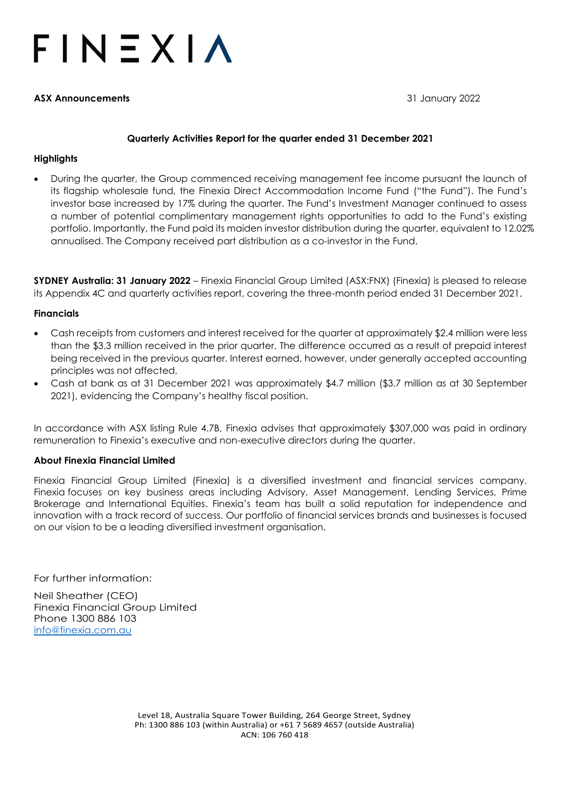# $F IN EXIA$

#### **ASX Announcements** 31 January 2022

#### **Quarterly Activities Report for the quarter ended 31 December 2021**

#### **Highlights**

• During the quarter, the Group commenced receiving management fee income pursuant the launch of its flagship wholesale fund, the Finexia Direct Accommodation Income Fund ("the Fund"). The Fund's investor base increased by 17% during the quarter. The Fund's Investment Manager continued to assess a number of potential complimentary management rights opportunities to add to the Fund's existing portfolio. Importantly, the Fund paid its maiden investor distribution during the quarter, equivalent to 12.02% annualised. The Company received part distribution as a co-investor in the Fund.

**SYDNEY Australia: 31 January 2022** – Finexia Financial Group Limited (ASX:FNX) (Finexia) is pleased to release its Appendix 4C and quarterly activities report, covering the three-month period ended 31 December 2021.

#### **Financials**

- Cash receipts from customers and interest received for the quarter at approximately \$2.4 million were less than the \$3.3 million received in the prior quarter. The difference occurred as a result of prepaid interest being received in the previous quarter. Interest earned, however, under generally accepted accounting principles was not affected.
- Cash at bank as at 31 December 2021 was approximately \$4.7 million (\$3.7 million as at 30 September 2021), evidencing the Company's healthy fiscal position.

In accordance with ASX listing Rule 4.7B, Finexia advises that approximately \$307,000 was paid in ordinary remuneration to Finexia's executive and non-executive directors during the quarter.

#### **About Finexia Financial Limited**

Finexia Financial Group Limited (Finexia) is a diversified investment and financial services company. Finexia focuses on key business areas including Advisory, Asset Management, Lending Services, Prime Brokerage and International Equities. Finexia's team has built a solid reputation for independence and innovation with a track record of success. Our portfolio of financial services brands and businesses is focused on our vision to be a leading diversified investment organisation.

For further information:

Neil Sheather (CEO) Finexia Financial Group Limited Phone 1300 886 103 [info@finexia.com.au](mailto:info@finexia.com.au)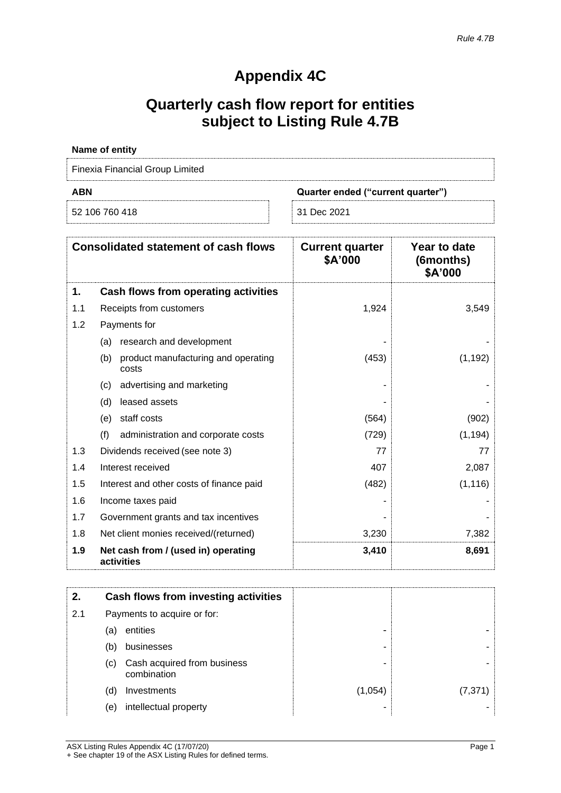## **Appendix 4C**

## **Quarterly cash flow report for entities subject to Listing Rule 4.7B**

| <b>Name of entity</b>                  |                                   |  |
|----------------------------------------|-----------------------------------|--|
| <b>Finexia Financial Group Limited</b> |                                   |  |
| <b>ABN</b>                             | Quarter ended ("current quarter") |  |
|                                        |                                   |  |

| <b>Consolidated statement of cash flows</b> |                                                     | <b>Current quarter</b><br>\$A'000 | Year to date<br>(6months)<br>\$A'000 |
|---------------------------------------------|-----------------------------------------------------|-----------------------------------|--------------------------------------|
| 1.                                          | Cash flows from operating activities                |                                   |                                      |
| 1.1                                         | Receipts from customers                             | 1,924                             | 3,549                                |
| 1.2                                         | Payments for                                        |                                   |                                      |
|                                             | (a) research and development                        |                                   |                                      |
|                                             | product manufacturing and operating<br>(b)<br>costs | (453)                             | (1, 192)                             |
|                                             | advertising and marketing<br>(c)                    |                                   |                                      |
|                                             | (d)<br>leased assets                                |                                   |                                      |
|                                             | staff costs<br>(e)                                  | (564)                             | (902)                                |
|                                             | (f)<br>administration and corporate costs           | (729)                             | (1, 194)                             |
| 1.3                                         | Dividends received (see note 3)                     | 77                                | 77                                   |
| 1.4                                         | Interest received                                   | 407                               | 2,087                                |
| 1.5                                         | Interest and other costs of finance paid            | (482)                             | (1, 116)                             |
| 1.6                                         | Income taxes paid                                   |                                   |                                      |
| 1.7                                         | Government grants and tax incentives                |                                   |                                      |
| 1.8                                         | Net client monies received/(returned)               | 3,230                             | 7,382                                |
| 1.9                                         | Net cash from / (used in) operating<br>activities   | 3,410                             | 8,691                                |

| 2.  |                             | Cash flows from investing activities       |         |          |
|-----|-----------------------------|--------------------------------------------|---------|----------|
| 2.1 | Payments to acquire or for: |                                            |         |          |
|     | (a)                         | entities                                   | ۰       |          |
|     | (b)                         | businesses                                 |         |          |
|     | (C)                         | Cash acquired from business<br>combination |         |          |
|     | (d)                         | Investments                                | (1,054) | (7, 371) |
|     | (e)                         | intellectual property                      |         |          |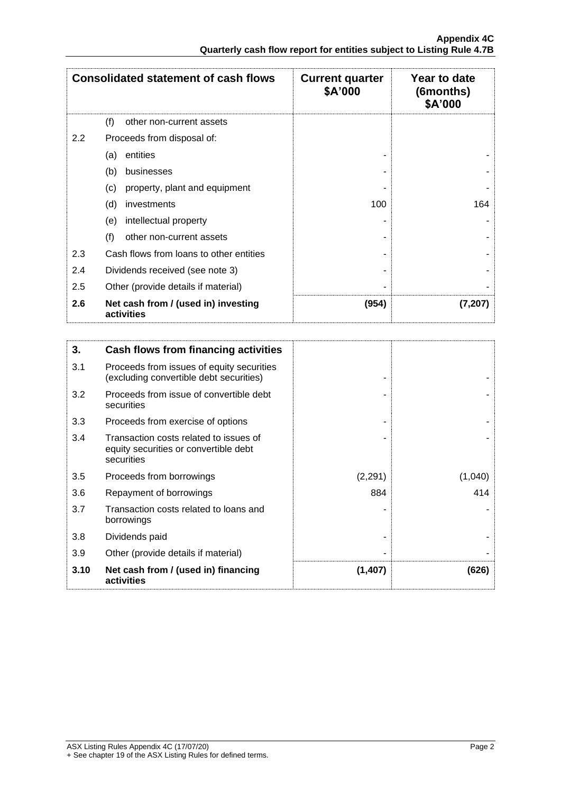| <b>Consolidated statement of cash flows</b> |                                                   | <b>Current quarter</b><br>\$A'000 | Year to date<br>(6months)<br>\$A'000 |
|---------------------------------------------|---------------------------------------------------|-----------------------------------|--------------------------------------|
|                                             | (f)<br>other non-current assets                   |                                   |                                      |
| 2.2                                         | Proceeds from disposal of:                        |                                   |                                      |
|                                             | entities<br>(a)                                   |                                   |                                      |
|                                             | (b)<br>businesses                                 |                                   |                                      |
|                                             | (c)<br>property, plant and equipment              |                                   |                                      |
|                                             | (d)<br>investments                                | 100                               | 164                                  |
|                                             | (e)<br>intellectual property                      |                                   |                                      |
|                                             | (f)<br>other non-current assets                   |                                   |                                      |
| 2.3                                         | Cash flows from loans to other entities           |                                   |                                      |
| 2.4                                         | Dividends received (see note 3)                   |                                   |                                      |
| 2.5                                         | Other (provide details if material)               |                                   |                                      |
| 2.6                                         | Net cash from / (used in) investing<br>activities | (954)                             | (7,207)                              |

| 3.   | Cash flows from financing activities                                                          |         |         |
|------|-----------------------------------------------------------------------------------------------|---------|---------|
| 3.1  | Proceeds from issues of equity securities<br>(excluding convertible debt securities)          |         |         |
| 3.2  | Proceeds from issue of convertible debt<br>securities                                         |         |         |
| 3.3  | Proceeds from exercise of options                                                             |         |         |
| 3.4  | Transaction costs related to issues of<br>equity securities or convertible debt<br>securities |         |         |
| 3.5  | Proceeds from borrowings                                                                      | (2,291) | (1,040) |
| 3.6  | Repayment of borrowings                                                                       | 884     | 414     |
| 3.7  | Transaction costs related to loans and<br>borrowings                                          |         |         |
| 3.8  | Dividends paid                                                                                |         |         |
| 3.9  | Other (provide details if material)                                                           |         |         |
| 3.10 | Net cash from / (used in) financing<br>activities                                             | (1,407) | (626)   |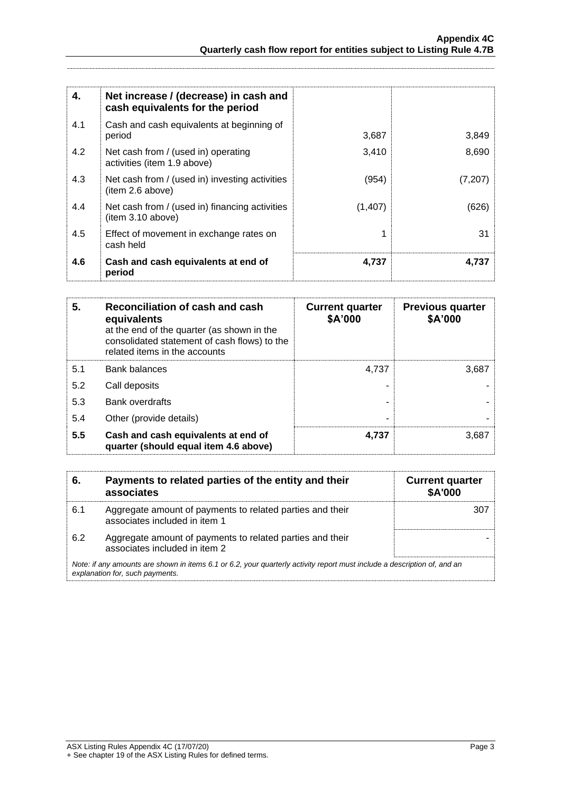| 4.  | Net increase / (decrease) in cash and<br>cash equivalents for the period |         |         |
|-----|--------------------------------------------------------------------------|---------|---------|
| 4.1 | Cash and cash equivalents at beginning of<br>period                      | 3,687   | 3,849   |
| 4.2 | Net cash from / (used in) operating<br>activities (item 1.9 above)       | 3,410   | 8,690   |
| 4.3 | Net cash from / (used in) investing activities<br>(item 2.6 above)       | (954)   | (7,207) |
| 4.4 | Net cash from / (used in) financing activities<br>(item 3.10 above)      | (1,407) | (626)   |
| 4.5 | Effect of movement in exchange rates on<br>cash held                     |         | 31      |
| 4.6 | Cash and cash equivalents at end of<br>period                            | 4,737   | 4.737   |

| 5.  | Reconciliation of cash and cash<br>equivalents<br>at the end of the quarter (as shown in the<br>consolidated statement of cash flows) to the<br>related items in the accounts | <b>Current quarter</b><br>\$A'000 | <b>Previous quarter</b><br>\$A'000 |
|-----|-------------------------------------------------------------------------------------------------------------------------------------------------------------------------------|-----------------------------------|------------------------------------|
| 5.1 | <b>Bank balances</b>                                                                                                                                                          | 4.737                             | 3,687                              |
| 5.2 | Call deposits                                                                                                                                                                 |                                   |                                    |
| 5.3 | Bank overdrafts                                                                                                                                                               |                                   |                                    |
| 5.4 | Other (provide details)                                                                                                                                                       |                                   |                                    |
| 5.5 | Cash and cash equivalents at end of<br>quarter (should equal item 4.6 above)                                                                                                  | 4,737                             | 3,687                              |

| 6.  | Payments to related parties of the entity and their<br>associates                                                                                           | <b>Current quarter</b><br>\$A'000 |  |
|-----|-------------------------------------------------------------------------------------------------------------------------------------------------------------|-----------------------------------|--|
| 6.1 | Aggregate amount of payments to related parties and their<br>associates included in item 1                                                                  | 307                               |  |
| 6.2 | Aggregate amount of payments to related parties and their<br>associates included in item 2                                                                  |                                   |  |
|     | Note: if any amounts are shown in items 6.1 or 6.2, your quarterly activity report must include a description of, and an<br>explanation for, such payments. |                                   |  |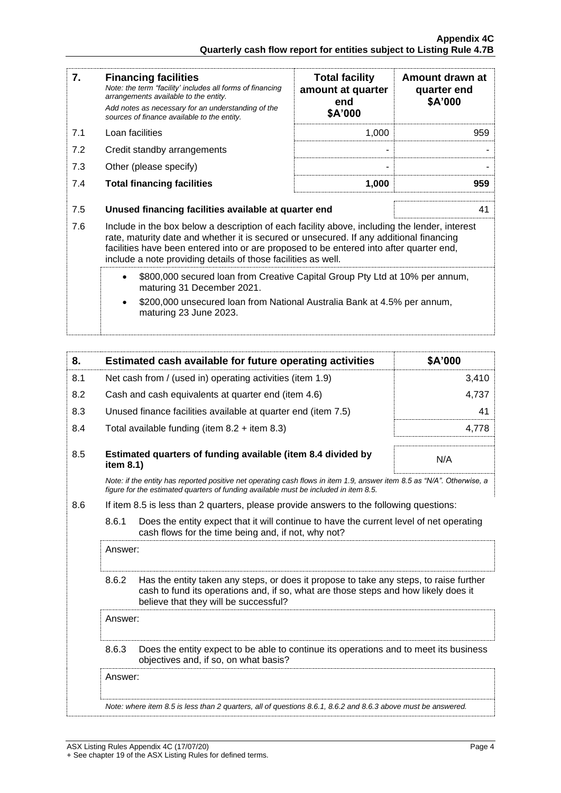| 7.                                                                                                                                                                                                                                                                                                                                                                                                                                                                        | <b>Financing facilities</b><br>Note: the term "facility' includes all forms of financing<br>arrangements available to the entity.<br>Add notes as necessary for an understanding of the<br>sources of finance available to the entity. | <b>Total facility</b><br>amount at quarter<br>end<br>\$A'000 | Amount drawn at<br>quarter end<br>\$A'000 |
|---------------------------------------------------------------------------------------------------------------------------------------------------------------------------------------------------------------------------------------------------------------------------------------------------------------------------------------------------------------------------------------------------------------------------------------------------------------------------|----------------------------------------------------------------------------------------------------------------------------------------------------------------------------------------------------------------------------------------|--------------------------------------------------------------|-------------------------------------------|
| 7.1                                                                                                                                                                                                                                                                                                                                                                                                                                                                       | Loan facilities                                                                                                                                                                                                                        | 1,000                                                        | 959                                       |
| 7.2                                                                                                                                                                                                                                                                                                                                                                                                                                                                       | Credit standby arrangements                                                                                                                                                                                                            |                                                              |                                           |
| 7.3                                                                                                                                                                                                                                                                                                                                                                                                                                                                       | Other (please specify)                                                                                                                                                                                                                 |                                                              |                                           |
| 7.4                                                                                                                                                                                                                                                                                                                                                                                                                                                                       | <b>Total financing facilities</b>                                                                                                                                                                                                      | 1,000                                                        | 959                                       |
| 7.5                                                                                                                                                                                                                                                                                                                                                                                                                                                                       | Unused financing facilities available at quarter end<br>41                                                                                                                                                                             |                                                              |                                           |
| 7.6<br>Include in the box below a description of each facility above, including the lender, interest<br>rate, maturity date and whether it is secured or unsecured. If any additional financing<br>facilities have been entered into or are proposed to be entered into after quarter end,<br>include a note providing details of those facilities as well.<br>\$800,000 secured loan from Creative Capital Group Pty Ltd at 10% per annum,<br>maturing 31 December 2021. |                                                                                                                                                                                                                                        |                                                              |                                           |
|                                                                                                                                                                                                                                                                                                                                                                                                                                                                           |                                                                                                                                                                                                                                        |                                                              |                                           |
|                                                                                                                                                                                                                                                                                                                                                                                                                                                                           | \$200,000 unsecured loan from National Australia Bank at 4.5% per annum,<br>maturing 23 June 2023.                                                                                                                                     |                                                              |                                           |

| 8.      |                                                                                                                                                         | Estimated cash available for future operating activities                                                                                                                                                               | \$A'000 |
|---------|---------------------------------------------------------------------------------------------------------------------------------------------------------|------------------------------------------------------------------------------------------------------------------------------------------------------------------------------------------------------------------------|---------|
| 8.1     | Net cash from / (used in) operating activities (item 1.9)                                                                                               |                                                                                                                                                                                                                        | 3,410   |
| 8.2     |                                                                                                                                                         | Cash and cash equivalents at quarter end (item 4.6)                                                                                                                                                                    | 4,737   |
| 8.3     |                                                                                                                                                         | Unused finance facilities available at quarter end (item 7.5)                                                                                                                                                          | 41      |
| 8.4     |                                                                                                                                                         | Total available funding (item $8.2 +$ item $8.3$ )                                                                                                                                                                     | 4,778   |
| 8.5     | item 8.1)                                                                                                                                               | Estimated quarters of funding available (item 8.4 divided by                                                                                                                                                           | N/A     |
|         |                                                                                                                                                         | Note: if the entity has reported positive net operating cash flows in item 1.9, answer item 8.5 as "N/A". Otherwise, a<br>figure for the estimated quarters of funding available must be included in item 8.5.         |         |
| 8.6     |                                                                                                                                                         | If item 8.5 is less than 2 quarters, please provide answers to the following questions:                                                                                                                                |         |
|         | 8.6.1<br>Does the entity expect that it will continue to have the current level of net operating<br>cash flows for the time being and, if not, why not? |                                                                                                                                                                                                                        |         |
| Answer: |                                                                                                                                                         |                                                                                                                                                                                                                        |         |
|         | 8.6.2                                                                                                                                                   | Has the entity taken any steps, or does it propose to take any steps, to raise further<br>cash to fund its operations and, if so, what are those steps and how likely does it<br>believe that they will be successful? |         |
|         | Answer:                                                                                                                                                 |                                                                                                                                                                                                                        |         |
|         | 8.6.3<br>Does the entity expect to be able to continue its operations and to meet its business<br>objectives and, if so, on what basis?                 |                                                                                                                                                                                                                        |         |
|         | Answer:                                                                                                                                                 |                                                                                                                                                                                                                        |         |
|         |                                                                                                                                                         | Note: where item 8.5 is less than 2 quarters, all of questions 8.6.1, 8.6.2 and 8.6.3 above must be answered.                                                                                                          |         |